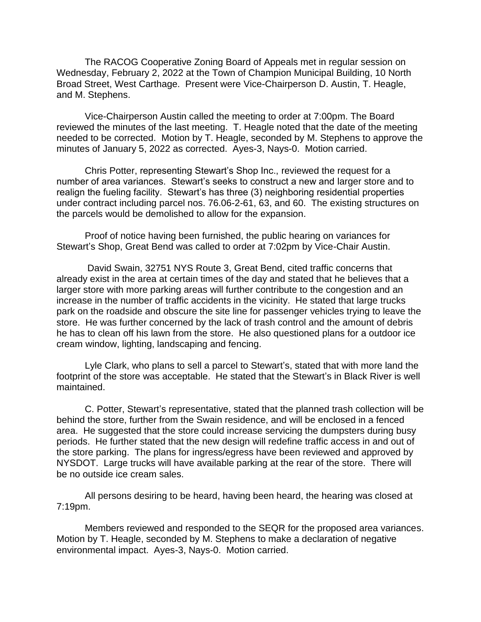The RACOG Cooperative Zoning Board of Appeals met in regular session on Wednesday, February 2, 2022 at the Town of Champion Municipal Building, 10 North Broad Street, West Carthage. Present were Vice-Chairperson D. Austin, T. Heagle, and M. Stephens.

Vice-Chairperson Austin called the meeting to order at 7:00pm. The Board reviewed the minutes of the last meeting. T. Heagle noted that the date of the meeting needed to be corrected. Motion by T. Heagle, seconded by M. Stephens to approve the minutes of January 5, 2022 as corrected. Ayes-3, Nays-0. Motion carried.

Chris Potter, representing Stewart's Shop Inc., reviewed the request for a number of area variances. Stewart's seeks to construct a new and larger store and to realign the fueling facility. Stewart's has three (3) neighboring residential properties under contract including parcel nos. 76.06-2-61, 63, and 60. The existing structures on the parcels would be demolished to allow for the expansion.

Proof of notice having been furnished, the public hearing on variances for Stewart's Shop, Great Bend was called to order at 7:02pm by Vice-Chair Austin.

David Swain, 32751 NYS Route 3, Great Bend, cited traffic concerns that already exist in the area at certain times of the day and stated that he believes that a larger store with more parking areas will further contribute to the congestion and an increase in the number of traffic accidents in the vicinity. He stated that large trucks park on the roadside and obscure the site line for passenger vehicles trying to leave the store. He was further concerned by the lack of trash control and the amount of debris he has to clean off his lawn from the store. He also questioned plans for a outdoor ice cream window, lighting, landscaping and fencing.

Lyle Clark, who plans to sell a parcel to Stewart's, stated that with more land the footprint of the store was acceptable. He stated that the Stewart's in Black River is well maintained.

C. Potter, Stewart's representative, stated that the planned trash collection will be behind the store, further from the Swain residence, and will be enclosed in a fenced area. He suggested that the store could increase servicing the dumpsters during busy periods. He further stated that the new design will redefine traffic access in and out of the store parking. The plans for ingress/egress have been reviewed and approved by NYSDOT. Large trucks will have available parking at the rear of the store. There will be no outside ice cream sales.

All persons desiring to be heard, having been heard, the hearing was closed at 7:19pm.

Members reviewed and responded to the SEQR for the proposed area variances. Motion by T. Heagle, seconded by M. Stephens to make a declaration of negative environmental impact. Ayes-3, Nays-0. Motion carried.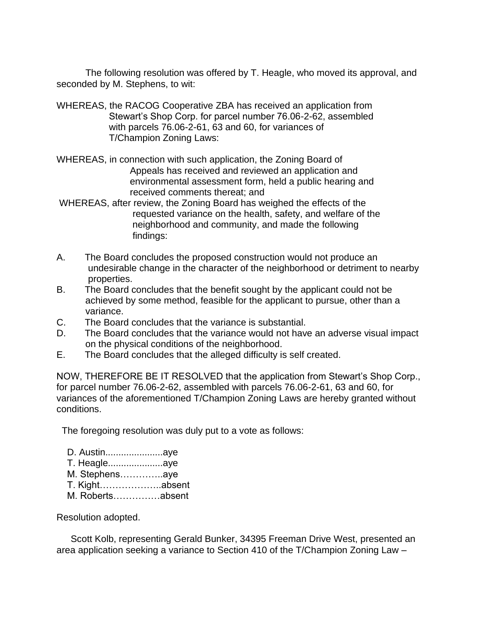The following resolution was offered by T. Heagle, who moved its approval, and seconded by M. Stephens, to wit:

- WHEREAS, the RACOG Cooperative ZBA has received an application from Stewart's Shop Corp. for parcel number 76.06-2-62, assembled with parcels 76.06-2-61, 63 and 60, for variances of T/Champion Zoning Laws:
- WHEREAS, in connection with such application, the Zoning Board of Appeals has received and reviewed an application and environmental assessment form, held a public hearing and received comments thereat; and
- WHEREAS, after review, the Zoning Board has weighed the effects of the requested variance on the health, safety, and welfare of the neighborhood and community, and made the following findings:
- A. The Board concludes the proposed construction would not produce an undesirable change in the character of the neighborhood or detriment to nearby properties.
- B. The Board concludes that the benefit sought by the applicant could not be achieved by some method, feasible for the applicant to pursue, other than a variance.
- C. The Board concludes that the variance is substantial.
- D. The Board concludes that the variance would not have an adverse visual impact on the physical conditions of the neighborhood.
- E. The Board concludes that the alleged difficulty is self created.

NOW, THEREFORE BE IT RESOLVED that the application from Stewart's Shop Corp., for parcel number 76.06-2-62, assembled with parcels 76.06-2-61, 63 and 60, for variances of the aforementioned T/Champion Zoning Laws are hereby granted without conditions.

The foregoing resolution was duly put to a vote as follows:

| D. Austinaye   |                  |
|----------------|------------------|
| T. Heagleaye   |                  |
| M. Stephensaye |                  |
|                |                  |
|                | M. Robertsabsent |
|                |                  |

## Resolution adopted.

Scott Kolb, representing Gerald Bunker, 34395 Freeman Drive West, presented an area application seeking a variance to Section 410 of the T/Champion Zoning Law –